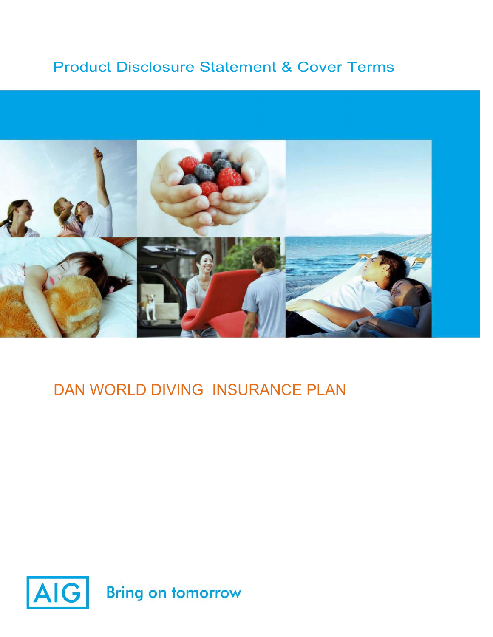## Product Disclosure Statement & Cover Terms



# DAN WORLD DIVING INSURANCE PLAN

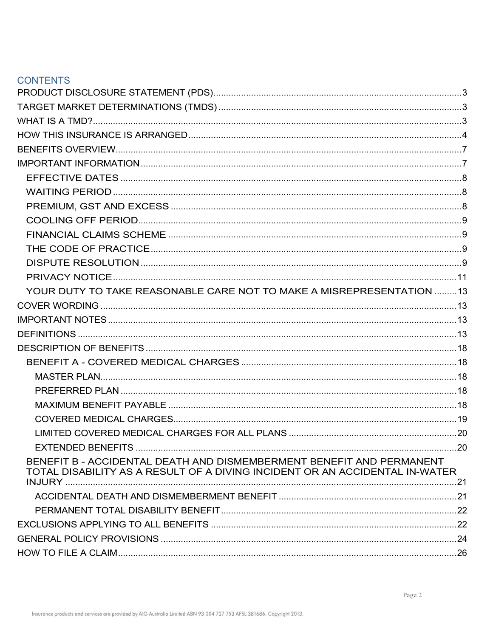## **CONTENTS**

| YOUR DUTY TO TAKE REASONABLE CARE NOT TO MAKE A MISREPRESENTATION  13                                                                               |    |
|-----------------------------------------------------------------------------------------------------------------------------------------------------|----|
|                                                                                                                                                     |    |
|                                                                                                                                                     |    |
|                                                                                                                                                     |    |
|                                                                                                                                                     |    |
|                                                                                                                                                     |    |
|                                                                                                                                                     |    |
|                                                                                                                                                     |    |
|                                                                                                                                                     |    |
|                                                                                                                                                     |    |
|                                                                                                                                                     |    |
| <b>EXTENDED BENEFITS</b>                                                                                                                            | 20 |
| BENEFIT B - ACCIDENTAL DEATH AND DISMEMBERMENT BENEFIT AND PERMANENT<br>TOTAL DISABILITY AS A RESULT OF A DIVING INCIDENT OR AN ACCIDENTAL IN-WATER |    |
|                                                                                                                                                     |    |
|                                                                                                                                                     |    |
|                                                                                                                                                     |    |
|                                                                                                                                                     |    |
|                                                                                                                                                     |    |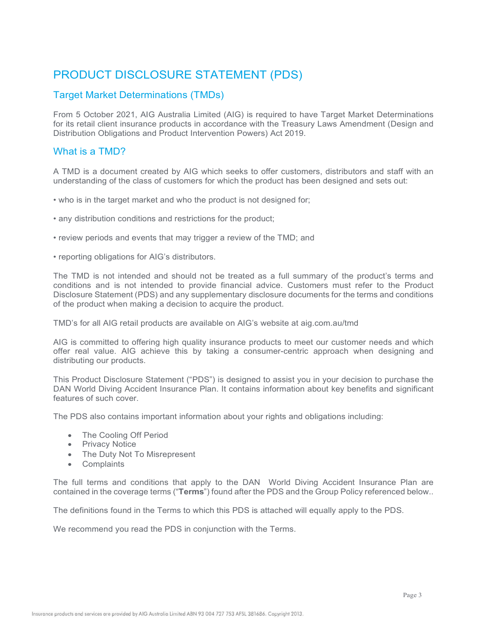## PRODUCT DISCLOSURE STATEMENT (PDS)

## Target Market Determinations (TMDs)

From 5 October 2021, AIG Australia Limited (AIG) is required to have Target Market Determinations for its retail client insurance products in accordance with the Treasury Laws Amendment (Design and Distribution Obligations and Product Intervention Powers) Act 2019.

## What is a TMD?

A TMD is a document created by AIG which seeks to offer customers, distributors and staff with an understanding of the class of customers for which the product has been designed and sets out:

- who is in the target market and who the product is not designed for;
- any distribution conditions and restrictions for the product;
- review periods and events that may trigger a review of the TMD; and
- reporting obligations for AIG's distributors.

The TMD is not intended and should not be treated as a full summary of the product's terms and conditions and is not intended to provide financial advice. Customers must refer to the Product Disclosure Statement (PDS) and any supplementary disclosure documents for the terms and conditions of the product when making a decision to acquire the product.

TMD's for all AIG retail products are available on AIG's website at aig.com.au/tmd

AIG is committed to offering high quality insurance products to meet our customer needs and which offer real value. AIG achieve this by taking a consumer-centric approach when designing and distributing our products.

This Product Disclosure Statement ("PDS") is designed to assist you in your decision to purchase the DAN World Diving Accident Insurance Plan. It contains information about key benefits and significant features of such cover.

The PDS also contains important information about your rights and obligations including:

- The Cooling Off Period
- Privacy Notice
- The Duty Not To Misrepresent
- **Complaints**

The full terms and conditions that apply to the DAN World Diving Accident Insurance Plan are contained in the coverage terms ("Terms") found after the PDS and the Group Policy referenced below..

The definitions found in the Terms to which this PDS is attached will equally apply to the PDS.

We recommend you read the PDS in conjunction with the Terms.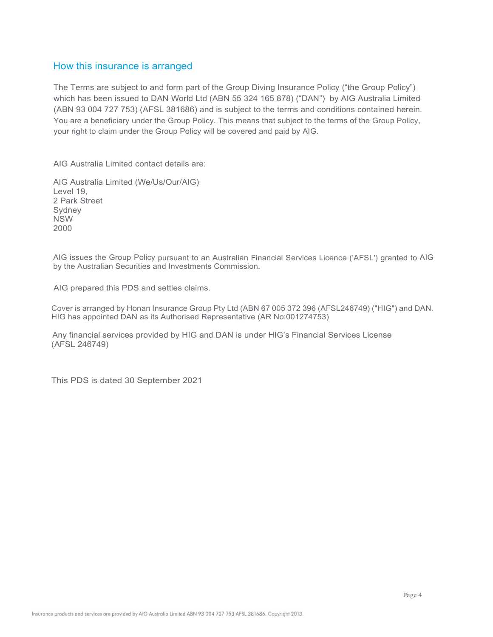#### How this insurance is arranged

The Terms are subject to and form part of the Group Diving Insurance Policy ("the Group Policy") which has been issued to DAN World Ltd (ABN 55 324 165 878) ("DAN") by AIG Australia Limited (ABN 93 004 727 753) (AFSL 381686) and is subject to the terms and conditions contained herein. You are a beneficiary under the Group Policy. This means that subject to the terms of the Group Policy, your right to claim under the Group Policy will be covered and paid by AIG.

AIG Australia Limited contact details are:

AIG Australia Limited (We/Us/Our/AIG) Level 19, 2 Park Street **Sydney** NSW 2000

AIG issues the Group Policy pursuant to an Australian Financial Services Licence ('AFSL') granted to AIG by the Australian Securities and Investments Commission.

AIG prepared this PDS and settles claims.<br>Cover is arranged by Honan Insurance Group Pty Ltd (ABN 67 005 372 396 (AFSL246749) ("HIG") and DAN. HIG has appointed DAN as its Authorised Representative (AR No:001274753)

 Any financial services provided by HIG and DAN is under HIG's Financial Services License (AFSL 246749)

This PDS is dated 30 September 2021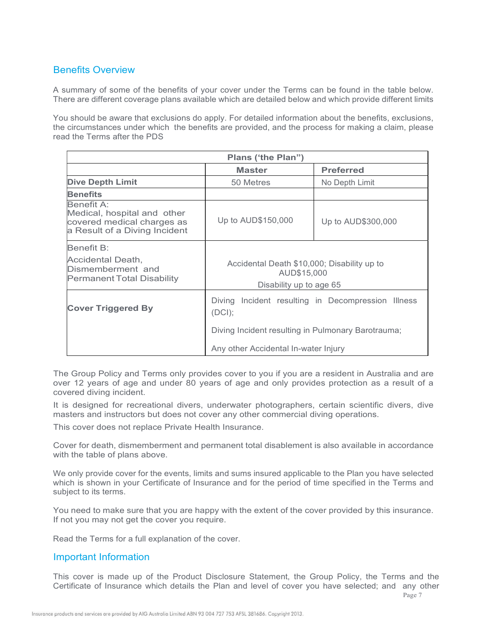## Benefits Overview

A summary of some of the benefits of your cover under the Terms can be found in the table below. There are different coverage plans available which are detailed below and which provide different limits

You should be aware that exclusions do apply. For detailed information about the benefits, exclusions, the circumstances under which the benefits are provided, and the process for making a claim, please read the Terms after the PDS

| Plans ('the Plan")                                                                                       |                                                                                       |                    |  |  |
|----------------------------------------------------------------------------------------------------------|---------------------------------------------------------------------------------------|--------------------|--|--|
|                                                                                                          | <b>Master</b>                                                                         | <b>Preferred</b>   |  |  |
| <b>Dive Depth Limit</b>                                                                                  | 50 Metres                                                                             | No Depth Limit     |  |  |
| <b>Benefits</b>                                                                                          |                                                                                       |                    |  |  |
| Benefit A:<br>Medical, hospital and other<br>covered medical charges as<br>a Result of a Diving Incident | Up to AUD\$150,000                                                                    | Up to AUD\$300,000 |  |  |
| Benefit B:                                                                                               |                                                                                       |                    |  |  |
| Accidental Death,<br>Dismemberment and<br><b>Permanent Total Disability</b>                              | Accidental Death \$10,000; Disability up to<br>AUD\$15,000<br>Disability up to age 65 |                    |  |  |
| <b>Cover Triggered By</b>                                                                                | Incident resulting in Decompression Illness<br>Diving<br>(DCI);                       |                    |  |  |
|                                                                                                          | Diving Incident resulting in Pulmonary Barotrauma;                                    |                    |  |  |
|                                                                                                          | Any other Accidental In-water Injury                                                  |                    |  |  |

The Group Policy and Terms only provides cover to you if you are a resident in Australia and are over 12 years of age and under 80 years of age and only provides protection as a result of a covered diving incident.

It is designed for recreational divers, underwater photographers, certain scientific divers, dive masters and instructors but does not cover any other commercial diving operations.

This cover does not replace Private Health Insurance.

Cover for death, dismemberment and permanent total disablement is also available in accordance with the table of plans above.

We only provide cover for the events, limits and sums insured applicable to the Plan you have selected which is shown in your Certificate of Insurance and for the period of time specified in the Terms and subject to its terms.

You need to make sure that you are happy with the extent of the cover provided by this insurance. If not you may not get the cover you require.

Read the Terms for a full explanation of the cover.

### Important Information

This cover is made up of the Product Disclosure Statement, the Group Policy, the Terms and the Certificate of Insurance which details the Plan and level of cover you have selected; and any other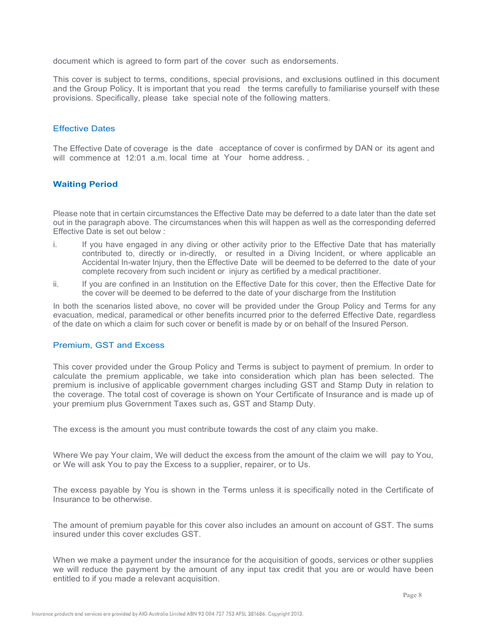document which is agreed to form part of the cover such as endorsements.

This cover is subject to terms, conditions, special provisions, and exclusions outlined in this document and the Group Policy. It is important that you read the terms carefully to familiarise yourself with these provisions. Specifically, please take special note of the following matters.

#### Effective Dates

The Effective Date of coverage is the date acceptance of cover is confirmed by DAN or its agent and will commence at 12:01 a.m. local time at Your home address..

#### Waiting Period

Please note that in certain circumstances the Effective Date may be deferred to a date later than the date set out in the paragraph above. The circumstances when this will happen as well as the corresponding deferred Effective Date is set out below :

- i. If you have engaged in any diving or other activity prior to the Effective Date that has materially contributed to, directly or in-directly, or resulted in a Diving Incident, or where applicable an Accidental In-water Injury, then the Effective Date will be deemed to be deferred to the date of your complete recovery from such incident or injury as certified by a medical practitioner.
- ii. If you are confined in an Institution on the Effective Date for this cover, then the Effective Date for the cover will be deemed to be deferred to the date of your discharge from the Institution

In both the scenarios listed above, no cover will be provided under the Group Policy and Terms for any evacuation, medical, paramedical or other benefits incurred prior to the deferred Effective Date, regardless of the date on which a claim for such cover or benefit is made by or on behalf of the Insured Person.

#### Premium, GST and Excess

This cover provided under the Group Policy and Terms is subject to payment of premium. In order to calculate the premium applicable, we take into consideration which plan has been selected. The premium is inclusive of applicable government charges including GST and Stamp Duty in relation to the coverage. The total cost of coverage is shown on Your Certificate of Insurance and is made up of your premium plus Government Taxes such as, GST and Stamp Duty.

The excess is the amount you must contribute towards the cost of any claim you make.

Where We pay Your claim, We will deduct the excess from the amount of the claim we will pay to You, or We will ask You to pay the Excess to a supplier, repairer, or to Us.

The excess payable by You is shown in the Terms unless it is specifically noted in the Certificate of Insurance to be otherwise.

The amount of premium payable for this cover also includes an amount on account of GST. The sums insured under this cover excludes GST.

When we make a payment under the insurance for the acquisition of goods, services or other supplies we will reduce the payment by the amount of any input tax credit that you are or would have been entitled to if you made a relevant acquisition.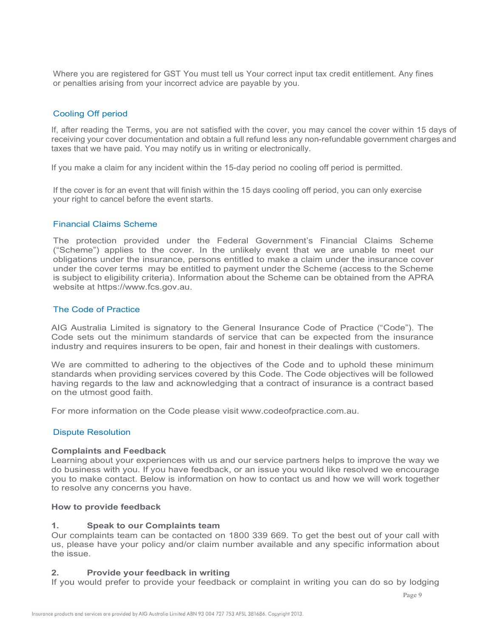Where you are registered for GST You must tell us Your correct input tax credit entitlement. Any fines or penalties arising from your incorrect advice are payable by you.

#### Cooling Off period

If, after reading the Terms, you are not satisfied with the cover, you may cancel the cover within 15 days of receiving your cover documentation and obtain a full refund less any non-refundable government charges and taxes that we have paid. You may notify us in writing or electronically.

If you make a claim for any incident within the 15-day period no cooling off period is permitted.

If the cover is for an event that will finish within the 15 days cooling off period, you can only exercise your right to cancel before the event starts.

#### Financial Claims Scheme

The protection provided under the Federal Government's Financial Claims Scheme ("Scheme") applies to the cover. In the unlikely event that we are unable to meet our obligations under the insurance, persons entitled to make a claim under the insurance cover under the cover terms may be entitled to payment under the Scheme (access to the Scheme is subject to eligibility criteria). Information about the Scheme can be obtained from the APRA website at https://www.fcs.gov.au.

#### The Code of Practice

AIG Australia Limited is signatory to the General Insurance Code of Practice ("Code"). The Code sets out the minimum standards of service that can be expected from the insurance industry and requires insurers to be open, fair and honest in their dealings with customers.

We are committed to adhering to the objectives of the Code and to uphold these minimum standards when providing services covered by this Code. The Code objectives will be followed having regards to the law and acknowledging that a contract of insurance is a contract based on the utmost good faith.

For more information on the Code please visit www.codeofpractice.com.au.

#### Dispute Resolution

#### Complaints and Feedback

Learning about your experiences with us and our service partners helps to improve the way we do business with you. If you have feedback, or an issue you would like resolved we encourage you to make contact. Below is information on how to contact us and how we will work together to resolve any concerns you have.

#### How to provide feedback

#### 1. Speak to our Complaints team

Our complaints team can be contacted on 1800 339 669. To get the best out of your call with us, please have your policy and/or claim number available and any specific information about the issue.

#### 2. Provide your feedback in writing

If you would prefer to provide your feedback or complaint in writing you can do so by lodging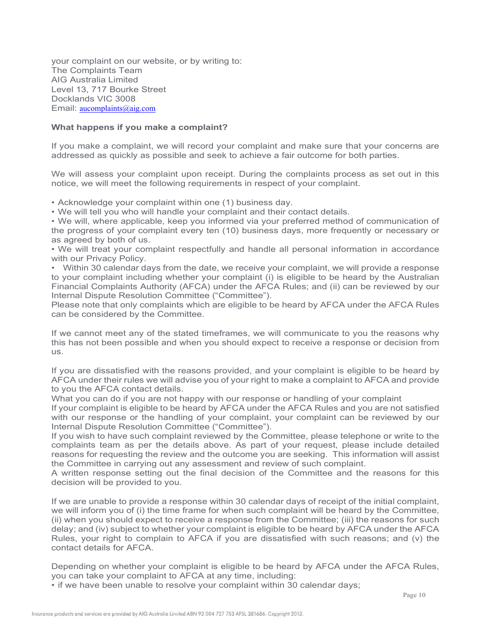your complaint on our website, or by writing to: The Complaints Team AIG Australia Limited Level 13, 717 Bourke Street Docklands VIC 3008 Email: aucomplaints@aig.com

#### What happens if you make a complaint?

If you make a complaint, we will record your complaint and make sure that your concerns are addressed as quickly as possible and seek to achieve a fair outcome for both parties.

We will assess your complaint upon receipt. During the complaints process as set out in this notice, we will meet the following requirements in respect of your complaint.

• Acknowledge your complaint within one (1) business day.

• We will tell you who will handle your complaint and their contact details.

• We will, where applicable, keep you informed via your preferred method of communication of the progress of your complaint every ten (10) business days, more frequently or necessary or as agreed by both of us.

• We will treat your complaint respectfully and handle all personal information in accordance with our Privacy Policy.

• Within 30 calendar days from the date, we receive your complaint, we will provide a response to your complaint including whether your complaint (i) is eligible to be heard by the Australian Financial Complaints Authority (AFCA) under the AFCA Rules; and (ii) can be reviewed by our Internal Dispute Resolution Committee ("Committee").

Please note that only complaints which are eligible to be heard by AFCA under the AFCA Rules can be considered by the Committee.

If we cannot meet any of the stated timeframes, we will communicate to you the reasons why this has not been possible and when you should expect to receive a response or decision from us.

If you are dissatisfied with the reasons provided, and your complaint is eligible to be heard by AFCA under their rules we will advise you of your right to make a complaint to AFCA and provide to you the AFCA contact details.

What you can do if you are not happy with our response or handling of your complaint

If your complaint is eligible to be heard by AFCA under the AFCA Rules and you are not satisfied with our response or the handling of your complaint, your complaint can be reviewed by our Internal Dispute Resolution Committee ("Committee").

If you wish to have such complaint reviewed by the Committee, please telephone or write to the complaints team as per the details above. As part of your request, please include detailed reasons for requesting the review and the outcome you are seeking. This information will assist the Committee in carrying out any assessment and review of such complaint.

A written response setting out the final decision of the Committee and the reasons for this decision will be provided to you.

If we are unable to provide a response within 30 calendar days of receipt of the initial complaint, we will inform you of (i) the time frame for when such complaint will be heard by the Committee, (ii) when you should expect to receive a response from the Committee; (iii) the reasons for such delay; and (iv) subject to whether your complaint is eligible to be heard by AFCA under the AFCA Rules, your right to complain to AFCA if you are dissatisfied with such reasons; and (v) the contact details for AFCA.

Depending on whether your complaint is eligible to be heard by AFCA under the AFCA Rules, you can take your complaint to AFCA at any time, including:

• if we have been unable to resolve your complaint within 30 calendar days;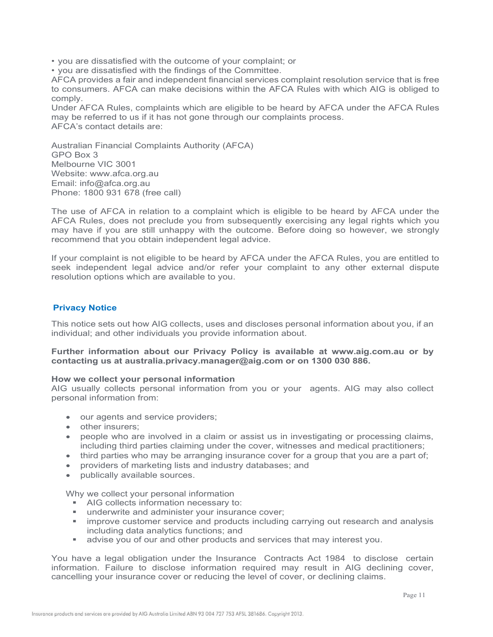• you are dissatisfied with the outcome of your complaint; or

• you are dissatisfied with the findings of the Committee.

AFCA provides a fair and independent financial services complaint resolution service that is free to consumers. AFCA can make decisions within the AFCA Rules with which AIG is obliged to comply.

Under AFCA Rules, complaints which are eligible to be heard by AFCA under the AFCA Rules may be referred to us if it has not gone through our complaints process. AFCA's contact details are:

Australian Financial Complaints Authority (AFCA) GPO Box 3 Melbourne VIC 3001 Website: www.afca.org.au Email: info@afca.org.au Phone: 1800 931 678 (free call)

The use of AFCA in relation to a complaint which is eligible to be heard by AFCA under the AFCA Rules, does not preclude you from subsequently exercising any legal rights which you may have if you are still unhappy with the outcome. Before doing so however, we strongly recommend that you obtain independent legal advice.

If your complaint is not eligible to be heard by AFCA under the AFCA Rules, you are entitled to seek independent legal advice and/or refer your complaint to any other external dispute resolution options which are available to you.

#### Privacy Notice

This notice sets out how AIG collects, uses and discloses personal information about you, if an individual; and other individuals you provide information about.

#### Further information about our Privacy Policy is available at www.aig.com.au or by contacting us at australia.privacy.manager@aig.com or on 1300 030 886.

#### How we collect your personal information

AIG usually collects personal information from you or your agents. AIG may also collect personal information from:

- our agents and service providers;
- other insurers:
- people who are involved in a claim or assist us in investigating or processing claims, including third parties claiming under the cover, witnesses and medical practitioners;
- third parties who may be arranging insurance cover for a group that you are a part of;
- providers of marketing lists and industry databases; and
- publically available sources.

Why we collect your personal information<br> **AIG** collects information necessary to:

- 
- **underwrite and administer your insurance cover;**
- **Indem** improve customer service and products including carrying out research and analysis including data analytics functions; and
- **advise you of our and other products and services that may interest you.**

You have a legal obligation under the Insurance Contracts Act 1984 to disclose certain information. Failure to disclose information required may result in AIG declining cover, cancelling your insurance cover or reducing the level of cover, or declining claims.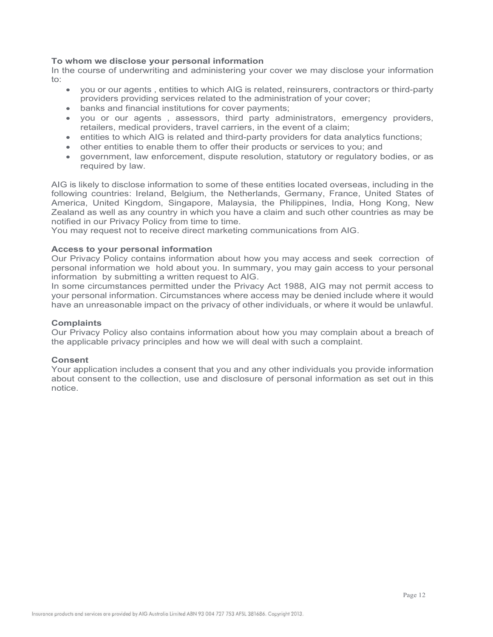#### To whom we disclose your personal information

In the course of underwriting and administering your cover we may disclose your information to:

- you or our agents , entities to which AIG is related, reinsurers, contractors or third-party providers providing services related to the administration of your cover;
- banks and financial institutions for cover payments;
- you or our agents , assessors, third party administrators, emergency providers, retailers, medical providers, travel carriers, in the event of a claim;
- entities to which AIG is related and third-party providers for data analytics functions;
- other entities to enable them to offer their products or services to you; and
- government, law enforcement, dispute resolution, statutory or regulatory bodies, or as required by law.

AIG is likely to disclose information to some of these entities located overseas, including in the following countries: Ireland, Belgium, the Netherlands, Germany, France, United States of America, United Kingdom, Singapore, Malaysia, the Philippines, India, Hong Kong, New Zealand as well as any country in which you have a claim and such other countries as may be notified in our Privacy Policy from time to time.

You may request not to receive direct marketing communications from AIG.

#### Access to your personal information

Our Privacy Policy contains information about how you may access and seek correction of personal information we hold about you. In summary, you may gain access to your personal information by submitting a written request to AIG.

In some circumstances permitted under the Privacy Act 1988, AIG may not permit access to your personal information. Circumstances where access may be denied include where it would have an unreasonable impact on the privacy of other individuals, or where it would be unlawful.

#### **Complaints**

Our Privacy Policy also contains information about how you may complain about a breach of the applicable privacy principles and how we will deal with such a complaint.

#### Consent

Your application includes a consent that you and any other individuals you provide information about consent to the collection, use and disclosure of personal information as set out in this notice.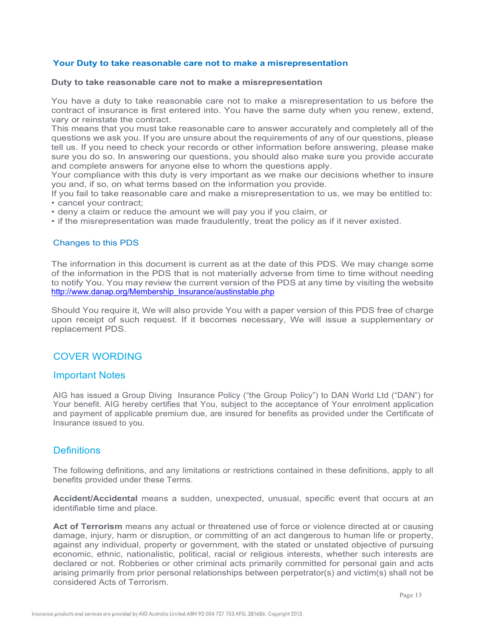#### Your Duty to take reasonable care not to make a misrepresentation

#### Duty to take reasonable care not to make a misrepresentation

You have a duty to take reasonable care not to make a misrepresentation to us before the contract of insurance is first entered into. You have the same duty when you renew, extend, vary or reinstate the contract.

This means that you must take reasonable care to answer accurately and completely all of the questions we ask you. If you are unsure about the requirements of any of our questions, please tell us. If you need to check your records or other information before answering, please make sure you do so. In answering our questions, you should also make sure you provide accurate and complete answers for anyone else to whom the questions apply.

Your compliance with this duty is very important as we make our decisions whether to insure you and, if so, on what terms based on the information you provide.

If you fail to take reasonable care and make a misrepresentation to us, we may be entitled to: • cancel your contract;

• deny a claim or reduce the amount we will pay you if you claim, or

• if the misrepresentation was made fraudulently, treat the policy as if it never existed.

#### Changes to this PDS

The information in this document is current as at the date of this PDS. We may change some of the information in the PDS that is not materially adverse from time to time without needing to notify You. You may review the current version of the PDS at any time by visiting the website http://www.danap.org/Membership\_Insurance/austinstable.php

Should You require it, We will also provide You with a paper version of this PDS free of charge upon receipt of such request. If it becomes necessary, We will issue a supplementary or replacement PDS.

#### COVER WORDING

#### Important Notes

AIG has issued a Group Diving Insurance Policy ("the Group Policy") to DAN World Ltd ("DAN") for Your benefit. AIG hereby certifies that You, subject to the acceptance of Your enrolment application and payment of applicable premium due, are insured for benefits as provided under the Certificate of Insurance issued to you.

#### **Definitions**

The following definitions, and any limitations or restrictions contained in these definitions, apply to all benefits provided under these Terms.

Accident/Accidental means a sudden, unexpected, unusual, specific event that occurs at an identifiable time and place.

Act of Terrorism means any actual or threatened use of force or violence directed at or causing damage, injury, harm or disruption, or committing of an act dangerous to human life or property, against any individual, property or government, with the stated or unstated objective of pursuing economic, ethnic, nationalistic, political, racial or religious interests, whether such interests are declared or not. Robberies or other criminal acts primarily committed for personal gain and acts arising primarily from prior personal relationships between perpetrator(s) and victim(s) shall not be considered Acts of Terrorism.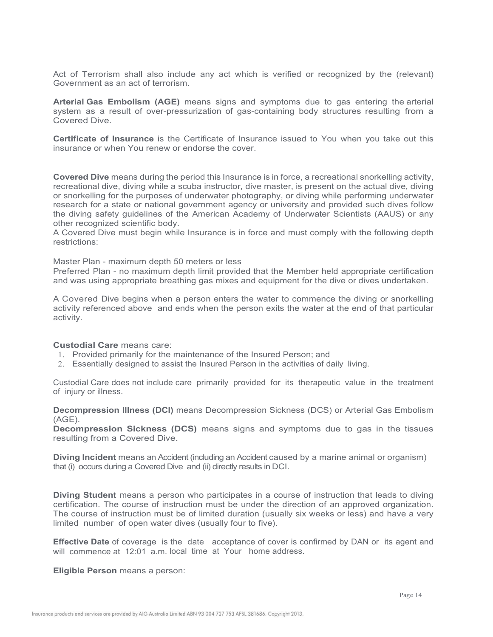Act of Terrorism shall also include any act which is verified or recognized by the (relevant) Government as an act of terrorism.

Arterial Gas Embolism (AGE) means signs and symptoms due to gas entering the arterial system as a result of over-pressurization of gas-containing body structures resulting from a Covered Dive.

Certificate of Insurance is the Certificate of Insurance issued to You when you take out this insurance or when You renew or endorse the cover.

Covered Dive means during the period this Insurance is in force, a recreational snorkelling activity, recreational dive, diving while a scuba instructor, dive master, is present on the actual dive, diving or snorkelling for the purposes of underwater photography, or diving while performing underwater research for a state or national government agency or university and provided such dives follow the diving safety guidelines of the American Academy of Underwater Scientists (AAUS) or any other recognized scientific body.

A Covered Dive must begin while Insurance is in force and must comply with the following depth restrictions:

Master Plan - maximum depth 50 meters or less

Preferred Plan - no maximum depth limit provided that the Member held appropriate certification and was using appropriate breathing gas mixes and equipment for the dive or dives undertaken.

A Covered Dive begins when a person enters the water to commence the diving or snorkelling activity referenced above and ends when the person exits the water at the end of that particular activity.

#### Custodial Care means care:

- 1. Provided primarily for the maintenance of the Insured Person; and
- 2. Essentially designed to assist the Insured Person in the activities of daily living.

Custodial Care does not include care primarily provided for its therapeutic value in the treatment of injury or illness.

Decompression Illness (DCI) means Decompression Sickness (DCS) or Arterial Gas Embolism (AGE).

Decompression Sickness (DCS) means signs and symptoms due to gas in the tissues resulting from a Covered Dive.

Diving Incident means an Accident (including an Accident caused by a marine animal or organism) that (i) occurs during a Covered Dive and (ii) directly results in DCI.

Diving Student means a person who participates in a course of instruction that leads to diving certification. The course of instruction must be under the direction of an approved organization. The course of instruction must be of limited duration (usually six weeks or less) and have a very limited number of open water dives (usually four to five).

**Effective Date** of coverage is the date acceptance of cover is confirmed by DAN or its agent and will commence at 12:01 a.m. local time at Your home address.

Eligible Person means a person: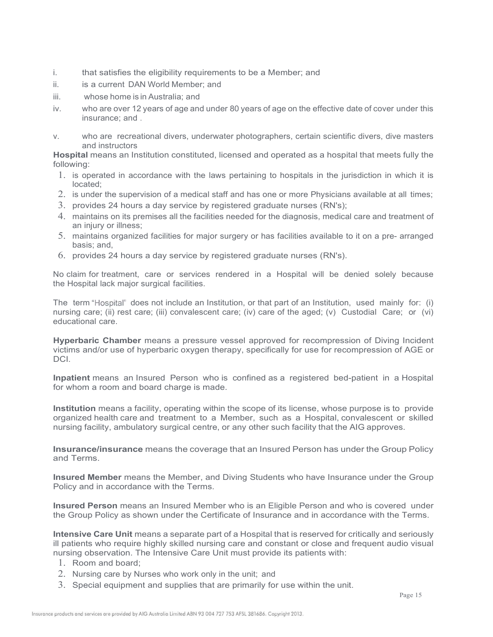- i. that satisfies the eligibility requirements to be a Member; and
- ii. is a current DAN World Member; and
- iii. whose home is in Australia; and
- iv. who are over 12 years of age and under 80 years of age on the effective date of cover under this insurance; and .
- v. who are recreational divers, underwater photographers, certain scientific divers, dive masters and instructors

Hospital means an Institution constituted, licensed and operated as a hospital that meets fully the following:

- 1. is operated in accordance with the laws pertaining to hospitals in the jurisdiction in which it is located;
- 2. is under the supervision of a medical staff and has one or more Physicians available at all times;
- 3. provides 24 hours a day service by registered graduate nurses (RN's);
- 4. maintains on its premises all the facilities needed for the diagnosis, medical care and treatment of an injury or illness;
- 5. maintains organized facilities for major surgery or has facilities available to it on a pre- arranged basis; and,
- 6. provides 24 hours a day service by registered graduate nurses (RN's).

No claim for treatment, care or services rendered in a Hospital will be denied solely because the Hospital lack major surgical facilities.

The term "Hospital" does not include an Institution, or that part of an Institution, used mainly for: (i) nursing care; (ii) rest care; (iii) convalescent care; (iv) care of the aged; (v) Custodial Care; or (vi) educational care.

Hyperbaric Chamber means a pressure vessel approved for recompression of Diving Incident victims and/or use of hyperbaric oxygen therapy, specifically for use for recompression of AGE or DCI.

Inpatient means an Insured Person who is confined as a registered bed-patient in a Hospital for whom a room and board charge is made.

Institution means a facility, operating within the scope of its license, whose purpose is to provide organized health care and treatment to a Member, such as a Hospital, convalescent or skilled nursing facility, ambulatory surgical centre, or any other such facility that the AIG approves.

Insurance/insurance means the coverage that an Insured Person has under the Group Policy and Terms.

Insured Member means the Member, and Diving Students who have Insurance under the Group Policy and in accordance with the Terms.

Insured Person means an Insured Member who is an Eligible Person and who is covered under the Group Policy as shown under the Certificate of Insurance and in accordance with the Terms.

Intensive Care Unit means a separate part of a Hospital that is reserved for critically and seriously ill patients who require highly skilled nursing care and constant or close and frequent audio visual nursing observation. The Intensive Care Unit must provide its patients with:

- 1. Room and board;
- 2. Nursing care by Nurses who work only in the unit; and
- 3. Special equipment and supplies that are primarily for use within the unit.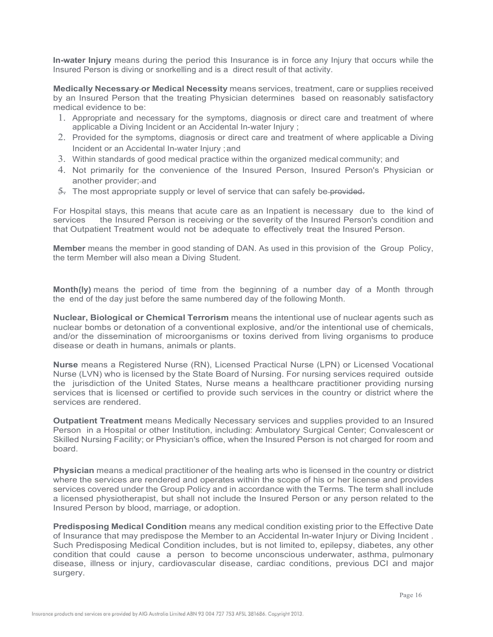In-water Injury means during the period this Insurance is in force any Injury that occurs while the Insured Person is diving or snorkelling and is a direct result of that activity.

Medically Necessary or Medical Necessity means services, treatment, care or supplies received by an Insured Person that the treating Physician determines based on reasonably satisfactory medical evidence to be:

- 1. Appropriate and necessary for the symptoms, diagnosis or direct care and treatment of where applicable a Diving Incident or an Accidental In-water Injury ;
- 2. Provided for the symptoms, diagnosis or direct care and treatment of where applicable a Diving Incident or an Accidental In-water Injury ; and
- 3. Within standards of good medical practice within the organized medical community; and
- 4. Not primarily for the convenience of the Insured Person, Insured Person's Physician or another provider:-and
- $5.$  The most appropriate supply or level of service that can safely be provided.

For Hospital stays, this means that acute care as an Inpatient is necessary due to the kind of services the Insured Person is receiving or the severity of the Insured Person's condition and that Outpatient Treatment would not be adequate to effectively treat the Insured Person.

Member means the member in good standing of DAN. As used in this provision of the Group Policy, the term Member will also mean a Diving Student.

Month(ly) means the period of time from the beginning of a number day of a Month through the end of the day just before the same numbered day of the following Month.

Nuclear, Biological or Chemical Terrorism means the intentional use of nuclear agents such as nuclear bombs or detonation of a conventional explosive, and/or the intentional use of chemicals, and/or the dissemination of microorganisms or toxins derived from living organisms to produce disease or death in humans, animals or plants.

Nurse means a Registered Nurse (RN), Licensed Practical Nurse (LPN) or Licensed Vocational Nurse (LVN) who is licensed by the State Board of Nursing. For nursing services required outside the jurisdiction of the United States, Nurse means a healthcare practitioner providing nursing services that is licensed or certified to provide such services in the country or district where the services are rendered.

**Outpatient Treatment** means Medically Necessary services and supplies provided to an Insured Person in a Hospital or other Institution, including: Ambulatory Surgical Center; Convalescent or Skilled Nursing Facility; or Physician's office, when the Insured Person is not charged for room and board.

Physician means a medical practitioner of the healing arts who is licensed in the country or district where the services are rendered and operates within the scope of his or her license and provides services covered under the Group Policy and in accordance with the Terms. The term shall include a licensed physiotherapist, but shall not include the Insured Person or any person related to the Insured Person by blood, marriage, or adoption.

Predisposing Medical Condition means any medical condition existing prior to the Effective Date of Insurance that may predispose the Member to an Accidental In-water Injury or Diving Incident . Such Predisposing Medical Condition includes, but is not limited to, epilepsy, diabetes, any other condition that could cause a person to become unconscious underwater, asthma, pulmonary disease, illness or injury, cardiovascular disease, cardiac conditions, previous DCI and major surgery.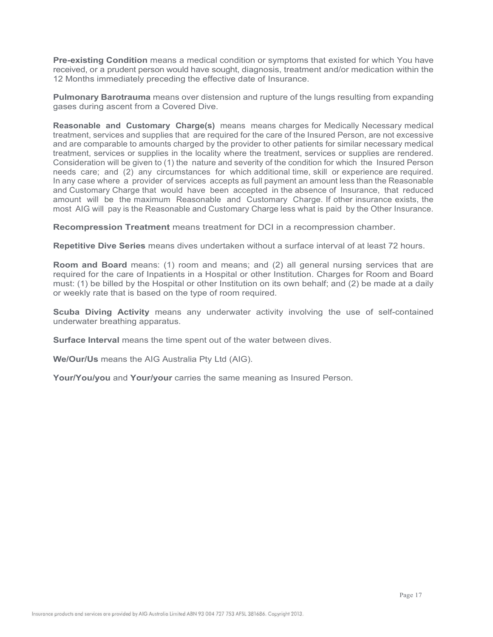Pre-existing Condition means a medical condition or symptoms that existed for which You have received, or a prudent person would have sought, diagnosis, treatment and/or medication within the 12 Months immediately preceding the effective date of Insurance.

**Pulmonary Barotrauma** means over distension and rupture of the lungs resulting from expanding gases during ascent from a Covered Dive.

Reasonable and Customary Charge(s) means means charges for Medically Necessary medical treatment, services and supplies that are required for the care of the Insured Person, are not excessive and are comparable to amounts charged by the provider to other patients for similar necessary medical treatment, services or supplies in the locality where the treatment, services or supplies are rendered. Consideration will be given to (1) the nature and severity of the condition for which the Insured Person needs care; and (2) any circumstances for which additional time, skill or experience are required. In any case where a provider of services accepts as full payment an amount less than the Reasonable and Customary Charge that would have been accepted in the absence of Insurance, that reduced amount will be the maximum Reasonable and Customary Charge. If other insurance exists, the most AIG will pay is the Reasonable and Customary Charge less what is paid by the Other Insurance.

Recompression Treatment means treatment for DCI in a recompression chamber.

Repetitive Dive Series means dives undertaken without a surface interval of at least 72 hours.

Room and Board means: (1) room and means; and (2) all general nursing services that are required for the care of Inpatients in a Hospital or other Institution. Charges for Room and Board must: (1) be billed by the Hospital or other Institution on its own behalf; and (2) be made at a daily or weekly rate that is based on the type of room required.

**Scuba Diving Activity** means any underwater activity involving the use of self-contained underwater breathing apparatus.

Surface Interval means the time spent out of the water between dives.

We/Our/Us means the AIG Australia Pty Ltd (AIG).

Your/You/you and Your/your carries the same meaning as Insured Person.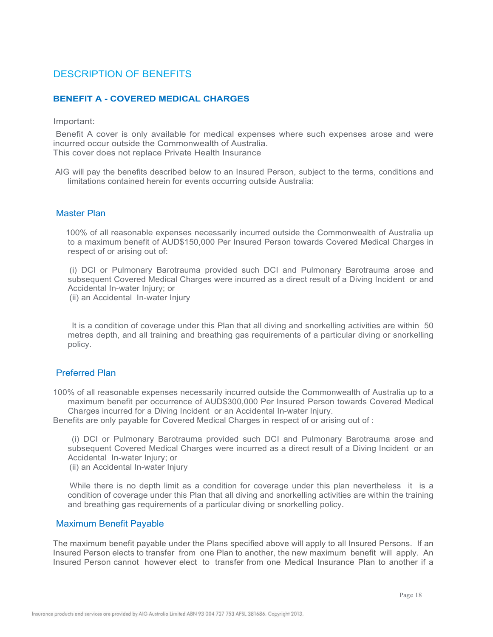## DESCRIPTION OF BENEFITS

#### BENEFIT A - COVERED MEDICAL CHARGES

Important:

 Benefit A cover is only available for medical expenses where such expenses arose and were incurred occur outside the Commonwealth of Australia. This cover does not replace Private Health Insurance

AIG will pay the benefits described below to an Insured Person, subject to the terms, conditions and limitations contained herein for events occurring outside Australia:

#### Master Plan

 100% of all reasonable expenses necessarily incurred outside the Commonwealth of Australia up to a maximum benefit of AUD\$150,000 Per Insured Person towards Covered Medical Charges in respect of or arising out of:

 (i) DCI or Pulmonary Barotrauma provided such DCI and Pulmonary Barotrauma arose and subsequent Covered Medical Charges were incurred as a direct result of a Diving Incident or and Accidental In-water Injury; or

(ii) an Accidental In-water Injury

 It is a condition of coverage under this Plan that all diving and snorkelling activities are within 50 metres depth, and all training and breathing gas requirements of a particular diving or snorkelling policy.

#### Preferred Plan

100% of all reasonable expenses necessarily incurred outside the Commonwealth of Australia up to a maximum benefit per occurrence of AUD\$300,000 Per Insured Person towards Covered Medical Charges incurred for a Diving Incident or an Accidental In-water Injury.

Benefits are only payable for Covered Medical Charges in respect of or arising out of :

 (i) DCI or Pulmonary Barotrauma provided such DCI and Pulmonary Barotrauma arose and subsequent Covered Medical Charges were incurred as a direct result of a Diving Incident or an Accidental In-water Injury; or

(ii) an Accidental In-water Injury

While there is no depth limit as a condition for coverage under this plan nevertheless it is a condition of coverage under this Plan that all diving and snorkelling activities are within the training and breathing gas requirements of a particular diving or snorkelling policy.

#### Maximum Benefit Payable

The maximum benefit payable under the Plans specified above will apply to all Insured Persons. If an Insured Person elects to transfer from one Plan to another, the new maximum benefit will apply. An Insured Person cannot however elect to transfer from one Medical Insurance Plan to another if a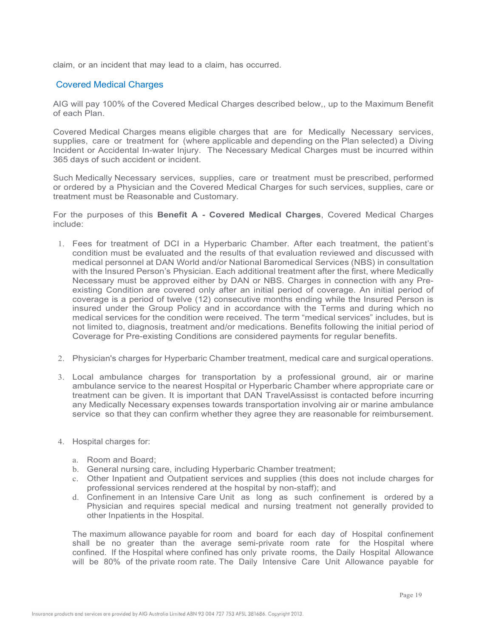claim, or an incident that may lead to a claim, has occurred.

#### Covered Medical Charges

AIG will pay 100% of the Covered Medical Charges described below,, up to the Maximum Benefit of each Plan.

Covered Medical Charges means eligible charges that are for Medically Necessary services, supplies, care or treatment for (where applicable and depending on the Plan selected) a Diving Incident or Accidental In-water Injury. The Necessary Medical Charges must be incurred within 365 days of such accident or incident.

Such Medically Necessary services, supplies, care or treatment must be prescribed, performed or ordered by a Physician and the Covered Medical Charges for such services, supplies, care or treatment must be Reasonable and Customary.

For the purposes of this Benefit A - Covered Medical Charges, Covered Medical Charges include:

- 1. Fees for treatment of DCI in a Hyperbaric Chamber. After each treatment, the patient's condition must be evaluated and the results of that evaluation reviewed and discussed with medical personnel at DAN World and/or National Baromedical Services (NBS) in consultation with the Insured Person's Physician. Each additional treatment after the first, where Medically Necessary must be approved either by DAN or NBS. Charges in connection with any Preexisting Condition are covered only after an initial period of coverage. An initial period of coverage is a period of twelve (12) consecutive months ending while the Insured Person is insured under the Group Policy and in accordance with the Terms and during which no medical services for the condition were received. The term "medical services" includes, but is not limited to, diagnosis, treatment and/or medications. Benefits following the initial period of Coverage for Pre-existing Conditions are considered payments for regular benefits.
- 2. Physician's charges for Hyperbaric Chamber treatment, medical care and surgical operations.
- 3. Local ambulance charges for transportation by a professional ground, air or marine ambulance service to the nearest Hospital or Hyperbaric Chamber where appropriate care or treatment can be given. It is important that DAN TravelAssisst is contacted before incurring any Medically Necessary expenses towards transportation involving air or marine ambulance service so that they can confirm whether they agree they are reasonable for reimbursement.
- 4. Hospital charges for:
	- a. Room and Board;
	- b. General nursing care, including Hyperbaric Chamber treatment;
	- c. Other Inpatient and Outpatient services and supplies (this does not include charges for professional services rendered at the hospital by non-staff); and
	- d. Confinement in an Intensive Care Unit as long as such confinement is ordered by a Physician and requires special medical and nursing treatment not generally provided to other Inpatients in the Hospital.

The maximum allowance payable for room and board for each day of Hospital confinement shall be no greater than the average semi-private room rate for the Hospital where confined. If the Hospital where confined has only private rooms, the Daily Hospital Allowance will be 80% of the private room rate. The Daily Intensive Care Unit Allowance payable for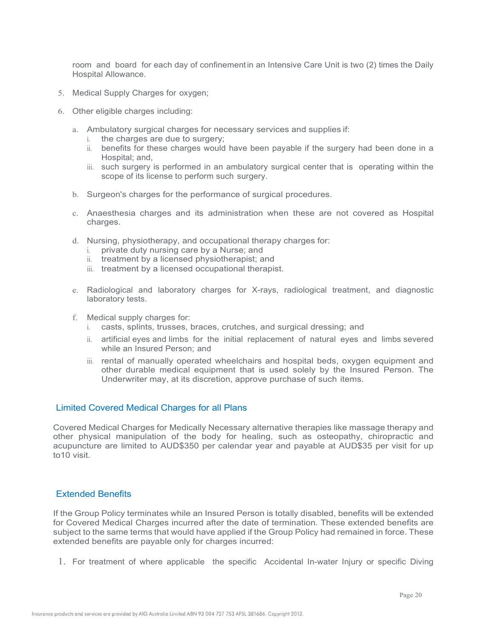room and board for each day of confinement in an Intensive Care Unit is two (2) times the Daily Hospital Allowance.

- 5. Medical Supply Charges for oxygen;
- 6. Other eligible charges including:
	- a. Ambulatory surgical charges for necessary services and supplies if:
		- i. the charges are due to surgery;
		- ii. benefits for these charges would have been payable if the surgery had been done in a Hospital; and,
		- iii. such surgery is performed in an ambulatory surgical center that is operating within the scope of its license to perform such surgery.
	- b. Surgeon's charges for the performance of surgical procedures.
	- c. Anaesthesia charges and its administration when these are not covered as Hospital charges.
	- d. Nursing, physiotherapy, and occupational therapy charges for:
		- i. private duty nursing care by a Nurse; and
		- ii. treatment by a licensed physiotherapist; and
		- iii. treatment by a licensed occupational therapist.
	- e. Radiological and laboratory charges for X-rays, radiological treatment, and diagnostic laboratory tests.
	- f. Medical supply charges for:
		- i. casts, splints, trusses, braces, crutches, and surgical dressing; and
		- ii. artificial eyes and limbs for the initial replacement of natural eyes and limbs severed while an Insured Person; and
		- iii. rental of manually operated wheelchairs and hospital beds, oxygen equipment and other durable medical equipment that is used solely by the Insured Person. The Underwriter may, at its discretion, approve purchase of such items.

#### Limited Covered Medical Charges for all Plans

Covered Medical Charges for Medically Necessary alternative therapies like massage therapy and other physical manipulation of the body for healing, such as osteopathy, chiropractic and acupuncture are limited to AUD\$350 per calendar year and payable at AUD\$35 per visit for up to10 visit.

#### Extended Benefits

If the Group Policy terminates while an Insured Person is totally disabled, benefits will be extended for Covered Medical Charges incurred after the date of termination. These extended benefits are subject to the same terms that would have applied if the Group Policy had remained in force. These extended benefits are payable only for charges incurred:

1. For treatment of where applicable the specific Accidental In-water Injury or specific Diving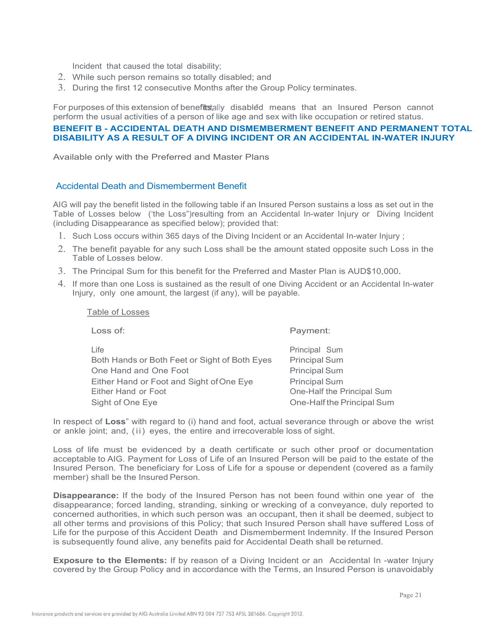Incident that caused the total disability;

- 2. While such person remains so totally disabled; and
- 3. During the first 12 consecutive Months after the Group Policy terminates.

For purposes of this extension of benefitstally disabled means that an Insured Person cannot perform the usual activities of a person of like age and sex with like occupation or retired status.

#### BENEFIT B - ACCIDENTAL DEATH AND DISMEMBERMENT BENEFIT AND PERMANENT TOTAL DISABILITY AS A RESULT OF A DIVING INCIDENT OR AN ACCIDENTAL IN-WATER INJURY

Available only with the Preferred and Master Plans

#### Accidental Death and Dismemberment Benefit

AIG will pay the benefit listed in the following table if an Insured Person sustains a loss as set out in the Table of Losses below ('the Loss")resulting from an Accidental In-water Injury or Diving Incident (including Disappearance as specified below); provided that:

- 1. Such Loss occurs within 365 days of the Diving Incident or an Accidental In-water Injury ;
- 2. The benefit payable for any such Loss shall be the amount stated opposite such Loss in the Table of Losses below.
- 3. The Principal Sum for this benefit for the Preferred and Master Plan is AUD\$10,000.
- 4. If more than one Loss is sustained as the result of one Diving Accident or an Accidental In-water Injury, only one amount, the largest (if any), will be payable.

#### Table of Losses

| Loss of:                                      | Payment:                   |
|-----------------------------------------------|----------------------------|
| Life                                          | Principal Sum              |
| Both Hands or Both Feet or Sight of Both Eyes | <b>Principal Sum</b>       |
| One Hand and One Foot                         | <b>Principal Sum</b>       |
| Either Hand or Foot and Sight of One Eye      | <b>Principal Sum</b>       |
| Either Hand or Foot                           | One-Half the Principal Sum |
| Sight of One Eye                              | One-Half the Principal Sum |

In respect of Loss" with regard to (i) hand and foot, actual severance through or above the wrist or ankle joint; and, (ii) eyes, the entire and irrecoverable loss of sight.

Loss of life must be evidenced by a death certificate or such other proof or documentation acceptable to AIG. Payment for Loss of Life of an Insured Person will be paid to the estate of the Insured Person. The beneficiary for Loss of Life for a spouse or dependent (covered as a family member) shall be the Insured Person.

Disappearance: If the body of the Insured Person has not been found within one year of the disappearance; forced landing, stranding, sinking or wrecking of a conveyance, duly reported to concerned authorities, in which such person was an occupant, then it shall be deemed, subject to all other terms and provisions of this Policy; that such Insured Person shall have suffered Loss of Life for the purpose of this Accident Death and Dismemberment Indemnity. If the Insured Person is subsequently found alive, any benefits paid for Accidental Death shall be returned.

**Exposure to the Elements:** If by reason of a Diving Incident or an Accidental In -water Injury covered by the Group Policy and in accordance with the Terms, an Insured Person is unavoidably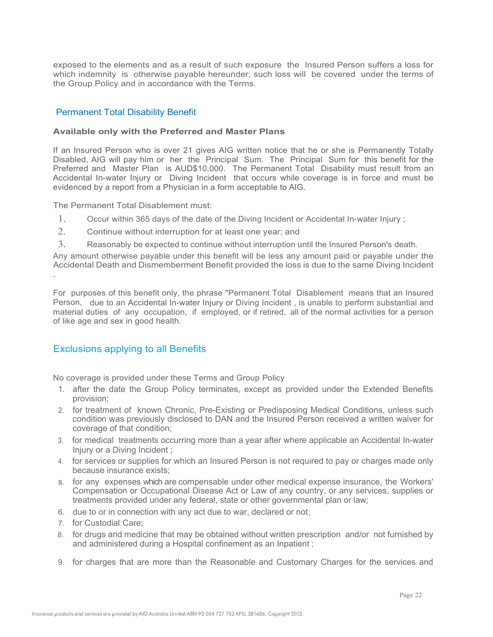exposed to the elements and as a result of such exposure the Insured Person suffers a loss for which indemnity is otherwise payable hereunder; such loss will be covered under the terms of the Group Policy and in accordance with the Terms.

#### Permanent Total Disability Benefit

#### Available only with the Preferred and Master Plans

If an Insured Person who is over 21 gives AIG written notice that he or she is Permanently Totally Disabled, AIG will pay him or her the Principal Sum. The Principal Sum for this benefit for the Preferred and Master Plan is AUD\$10,000. The Permanent Total Disability must result from an Accidental In-water Injury or Diving Incident that occurs while coverage is in force and must be evidenced by a report from a Physician in a form acceptable to AIG.

The Permanent Total Disablement must:

- 1. Occur within 365 days of the date of the Diving Incident or Accidental In-water Injury ;
- 2. Continue without interruption for at least one year; and
- 3. Reasonably be expected to continue without interruption until the Insured Person's death.

Any amount otherwise payable under this benefit will be less any amount paid or payable under the Accidental Death and Dismemberment Benefit provided the loss is due to the same Diving Incident

. For purposes of this benefit only, the phrase "Permanent Total Disablement means that an Insured Person, due to an Accidental In-water Injury or Diving Incident , is unable to perform substantial and material duties of any occupation, if employed, or if retired, all of the normal activities for a person of like age and sex in good health.

### Exclusions applying to all Benefits

No coverage is provided under these Terms and Group Policy

- 1. after the date the Group Policy terminates, except as provided under the Extended Benefits provision;
- 2. for treatment of known Chronic, Pre-Existing or Predisposing Medical Conditions, unless such condition was previously disclosed to DAN and the Insured Person received a written waiver for coverage of that condition;
- 3. for medical treatments occurring more than a year after where applicable an Accidental In-water Injury or a Diving Incident ;
- 4. for services or supplies for which an Insured Person is not required to pay or charges made only because insurance exists;
- s. for any expenses which are compensable under other medical expense insurance, the Workers' Compensation or Occupational Disease Act or Law of any country, or any services, supplies or treatments provided under any federal, state or other governmental plan or law;
- 6. due to or in connection with any act due to war, declared or not;
- 7. for Custodial Care;
- 8 . for drugs and medicine that may be obtained without written prescription and/or not furnished by and administered during a Hospital confinement as an Inpatient ;
- 9. for charges that are more than the Reasonable and Customary Charges for the services and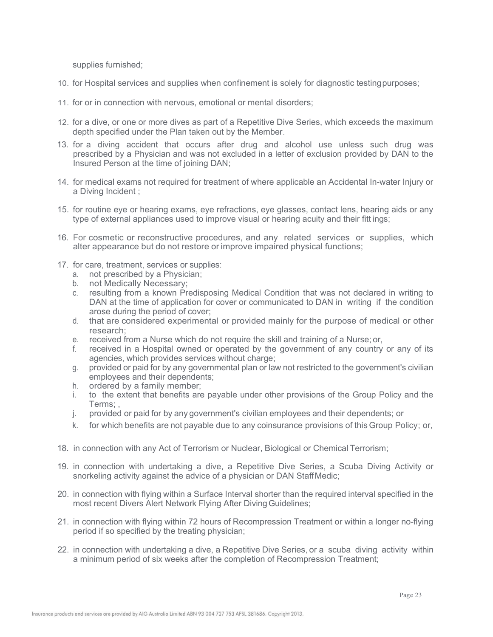supplies furnished;

- 10. for Hospital services and supplies when confinement is solely for diagnostic testing purposes;
- 11. for or in connection with nervous, emotional or mental disorders;
- 12. for a dive, or one or more dives as part of a Repetitive Dive Series, which exceeds the maximum depth specified under the Plan taken out by the Member.
- 13. for a diving accident that occurs after drug and alcohol use unless such drug was prescribed by a Physician and was not excluded in a letter of exclusion provided by DAN to the Insured Person at the time of joining DAN;
- 14. for medical exams not required for treatment of where applicable an Accidental In-water Injury or a Diving Incident ;
- 15. for routine eye or hearing exams, eye refractions, eye glasses, contact lens, hearing aids or any type of external appliances used to improve visual or hearing acuity and their fitt ings;
- 16. For cosmetic or reconstructive procedures, and any related services or supplies, which alter appearance but do not restore or improve impaired physical functions;
- 17. for care, treatment, services or supplies:
	- a. not prescribed by a Physician;
	- b. not Medically Necessary;
	- c. resulting from a known Predisposing Medical Condition that was not declared in writing to DAN at the time of application for cover or communicated to DAN in writing if the condition arose during the period of cover;
	- d. that are considered experimental or provided mainly for the purpose of medical or other research;
	- e. received from a Nurse which do not require the skill and training of a Nurse; or,
	- f. received in a Hospital owned or operated by the government of any country or any of its agencies, which provides services without charge;
	- g. provided or paid for by any governmental plan or law not restricted to the government's civilian employees and their dependents;
	- h. ordered by a family member;
	- i. to the extent that benefits are payable under other provisions of the Group Policy and the Terms; ,
	- j. provided or paid for by any government's civilian employees and their dependents; or
	- k. for which benefits are not payable due to any coinsurance provisions of this Group Policy; or,
- 18. in connection with any Act of Terrorism or Nuclear, Biological or Chemical Terrorism;
- 19. in connection with undertaking a dive, a Repetitive Dive Series, a Scuba Diving Activity or snorkeling activity against the advice of a physician or DAN Staff Medic;
- 20. in connection with flying within a Surface Interval shorter than the required interval specified in the most recent Divers Alert Network Flying After Diving Guidelines;
- 21. in connection with flying within 72 hours of Recompression Treatment or within a longer no-flying period if so specified by the treating physician;
- 22. in connection with undertaking a dive, a Repetitive Dive Series, or a scuba diving activity within a minimum period of six weeks after the completion of Recompression Treatment;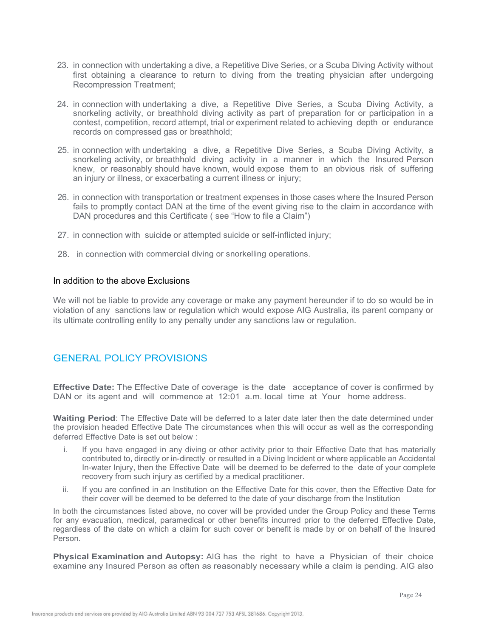- 23. in connection with undertaking a dive, a Repetitive Dive Series, or a Scuba Diving Activity without first obtaining a clearance to return to diving from the treating physician after undergoing Recompression Treatment;
- 24. in connection with undertaking a dive, a Repetitive Dive Series, a Scuba Diving Activity, a snorkeling activity, or breathhold diving activity as part of preparation for or participation in a contest, competition, record attempt, trial or experiment related to achieving depth or endurance records on compressed gas or breathhold;
- 25. in connection with undertaking a dive, a Repetitive Dive Series, a Scuba Diving Activity, a snorkeling activity, or breathhold diving activity in a manner in which the Insured Person knew, or reasonably should have known, would expose them to an obvious risk of suffering an injury or illness, or exacerbating a current illness or injury;
- 26. in connection with transportation or treatment expenses in those cases where the Insured Person fails to promptly contact DAN at the time of the event giving rise to the claim in accordance with DAN procedures and this Certificate ( see "How to file a Claim")
- 27. in connection with suicide or attempted suicide or self-inflicted injury;
- 28. in connection with commercial diving or snorkelling operations.

#### In addition to the above Exclusions

We will not be liable to provide any coverage or make any payment hereunder if to do so would be in violation of any sanctions law or regulation which would expose AIG Australia, its parent company or its ultimate controlling entity to any penalty under any sanctions law or regulation.

## GENERAL POLICY PROVISIONS

**Effective Date:** The Effective Date of coverage is the date acceptance of cover is confirmed by DAN or its agent and will commence at 12:01 a.m. local time at Your home address.

Waiting Period: The Effective Date will be deferred to a later date later then the date determined under the provision headed Effective Date The circumstances when this will occur as well as the corresponding deferred Effective Date is set out below :

- i. If you have engaged in any diving or other activity prior to their Effective Date that has materially contributed to, directly or in-directly or resulted in a Diving Incident or where applicable an Accidental In-water Injury, then the Effective Date will be deemed to be deferred to the date of your complete recovery from such injury as certified by a medical practitioner.
- ii. If you are confined in an Institution on the Effective Date for this cover, then the Effective Date for their cover will be deemed to be deferred to the date of your discharge from the Institution

In both the circumstances listed above, no cover will be provided under the Group Policy and these Terms for any evacuation, medical, paramedical or other benefits incurred prior to the deferred Effective Date, regardless of the date on which a claim for such cover or benefit is made by or on behalf of the Insured Person.

Physical Examination and Autopsy: AIG has the right to have a Physician of their choice examine any Insured Person as often as reasonably necessary while a claim is pending. AIG also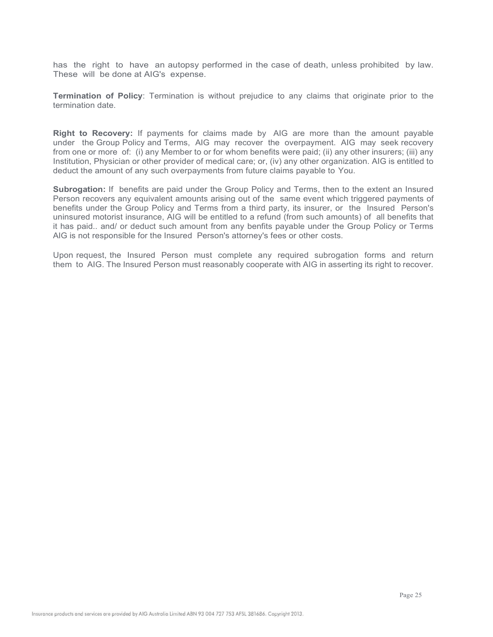has the right to have an autopsy performed in the case of death, unless prohibited by law. These will be done at AIG's expense.

Termination of Policy: Termination is without prejudice to any claims that originate prior to the termination date.

Right to Recovery: If payments for claims made by AIG are more than the amount payable under the Group Policy and Terms, AIG may recover the overpayment. AIG may seek recovery from one or more of: (i) any Member to or for whom benefits were paid; (ii) any other insurers; (iii) any Institution, Physician or other provider of medical care; or, (iv) any other organization. AIG is entitled to deduct the amount of any such overpayments from future claims payable to You.

Subrogation: If benefits are paid under the Group Policy and Terms, then to the extent an Insured Person recovers any equivalent amounts arising out of the same event which triggered payments of benefits under the Group Policy and Terms from a third party, its insurer, or the Insured Person's uninsured motorist insurance, AIG will be entitled to a refund (from such amounts) of all benefits that it has paid.. and/ or deduct such amount from any benfits payable under the Group Policy or Terms AIG is not responsible for the Insured Person's attorney's fees or other costs.

Upon request, the Insured Person must complete any required subrogation forms and return them to AIG. The Insured Person must reasonably cooperate with AIG in asserting its right to recover.